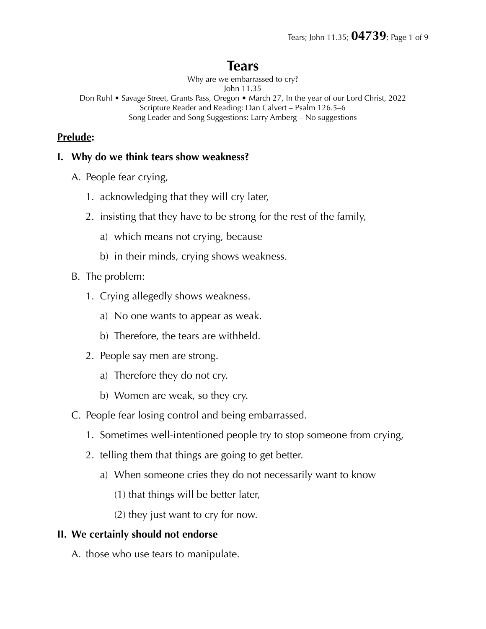# **Tears**

Why are we embarrassed to cry?

John 11.35

Don Ruhl • Savage Street, Grants Pass, Oregon • March 27, In the year of our Lord Christ, 2022 Scripture Reader and Reading: Dan Calvert – Psalm 126.5–6 Song Leader and Song Suggestions: Larry Amberg – No suggestions

## **Prelude:**

#### **I. Why do we think tears show weakness?**

- A. People fear crying,
	- 1. acknowledging that they will cry later,
	- 2. insisting that they have to be strong for the rest of the family,
		- a) which means not crying, because
		- b) in their minds, crying shows weakness.
- B. The problem:
	- 1. Crying allegedly shows weakness.
		- a) No one wants to appear as weak.
		- b) Therefore, the tears are withheld.
	- 2. People say men are strong.
		- a) Therefore they do not cry.
		- b) Women are weak, so they cry.
- C. People fear losing control and being embarrassed.
	- 1. Sometimes well-intentioned people try to stop someone from crying,
	- 2. telling them that things are going to get better.
		- a) When someone cries they do not necessarily want to know
			- (1) that things will be better later,
			- (2) they just want to cry for now.

## **II. We certainly should not endorse**

A. those who use tears to manipulate.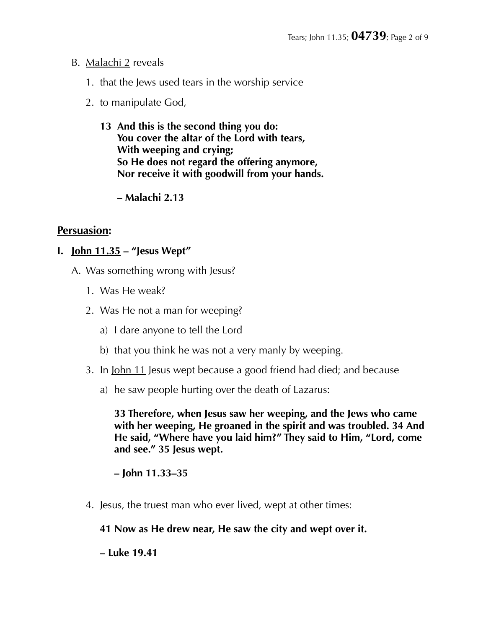#### B. Malachi 2 reveals

- 1. that the Jews used tears in the worship service
- 2. to manipulate God,
	- **13 And this is the second thing you do: You cover the altar of the Lord with tears, With weeping and crying; So He does not regard the offering anymore, Nor receive it with goodwill from your hands.**

 **– Malachi 2.13** 

## **Persuasion:**

#### **I. John 11.35 – "Jesus Wept"**

- A. Was something wrong with Jesus?
	- 1. Was He weak?
	- 2. Was He not a man for weeping?
		- a) I dare anyone to tell the Lord
		- b) that you think he was not a very manly by weeping.
	- 3. In John 11 Jesus wept because a good friend had died; and because
		- a) he saw people hurting over the death of Lazarus:

**33 Therefore, when Jesus saw her weeping, and the Jews who came with her weeping, He groaned in the spirit and was troubled. 34 And He said, "Where have you laid him?" They said to Him, "Lord, come and see." 35 Jesus wept.** 

**– John 11.33–35** 

4. Jesus, the truest man who ever lived, wept at other times:

#### **41 Now as He drew near, He saw the city and wept over it.**

**– Luke 19.41**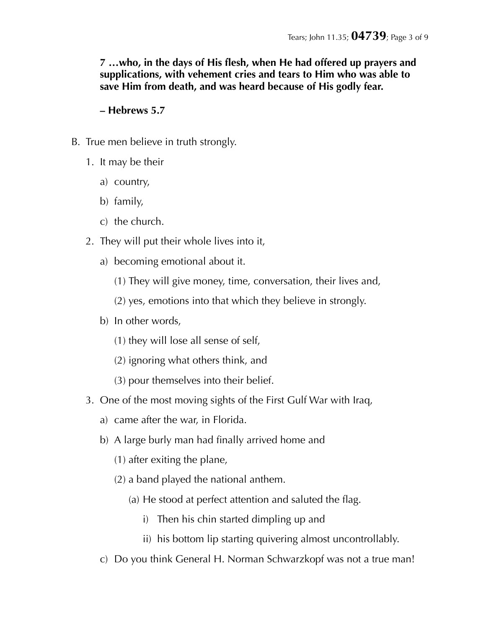**7 …who, in the days of His flesh, when He had offered up prayers and supplications, with vehement cries and tears to Him who was able to save Him from death, and was heard because of His godly fear.** 

#### **– Hebrews 5.7**

- B. True men believe in truth strongly.
	- 1. It may be their
		- a) country,
		- b) family,
		- c) the church.
	- 2. They will put their whole lives into it,
		- a) becoming emotional about it.
			- (1) They will give money, time, conversation, their lives and,
			- (2) yes, emotions into that which they believe in strongly.
		- b) In other words,
			- (1) they will lose all sense of self,
			- (2) ignoring what others think, and
			- (3) pour themselves into their belief.
	- 3. One of the most moving sights of the First Gulf War with Iraq,
		- a) came after the war, in Florida.
		- b) A large burly man had finally arrived home and
			- (1) after exiting the plane,
			- (2) a band played the national anthem.
				- (a) He stood at perfect attention and saluted the flag.
					- i) Then his chin started dimpling up and
					- ii) his bottom lip starting quivering almost uncontrollably.
		- c) Do you think General H. Norman Schwarzkopf was not a true man!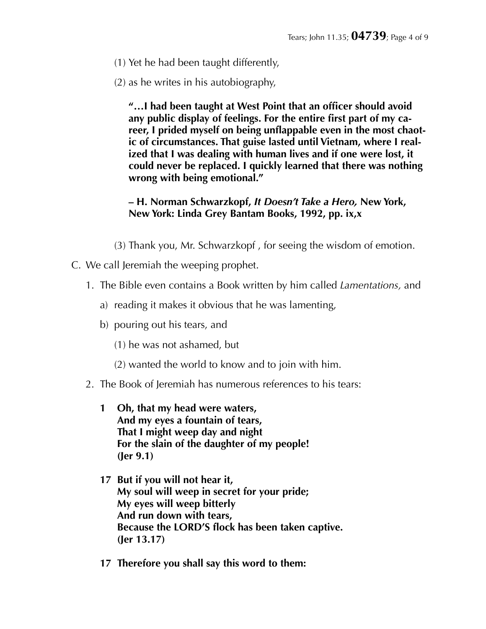- (1) Yet he had been taught differently,
- (2) as he writes in his autobiography,

**"…I had been taught at West Point that an officer should avoid any public display of feelings. For the entire first part of my career, I prided myself on being unflappable even in the most chaotic of circumstances. That guise lasted until Vietnam, where I realized that I was dealing with human lives and if one were lost, it could never be replaced. I quickly learned that there was nothing wrong with being emotional."** 

**– H. Norman Schwarzkopf,** *It Doesn't Take a Hero,* **New York, New York: Linda Grey Bantam Books, 1992, pp. ix,x** 

- (3) Thank you, Mr. Schwarzkopf , for seeing the wisdom of emotion.
- C. We call Jeremiah the weeping prophet.
	- 1. The Bible even contains a Book written by him called *Lamentations,* and
		- a) reading it makes it obvious that he was lamenting,
		- b) pouring out his tears, and
			- (1) he was not ashamed, but
			- (2) wanted the world to know and to join with him.
	- 2. The Book of Jeremiah has numerous references to his tears:
		- **1 Oh, that my head were waters, And my eyes a fountain of tears, That I might weep day and night For the slain of the daughter of my people! (Jer 9.1)**
		- **17 But if you will not hear it, My soul will weep in secret for your pride; My eyes will weep bitterly And run down with tears, Because the LORD'S flock has been taken captive. (Jer 13.17)**
		- **17 Therefore you shall say this word to them:**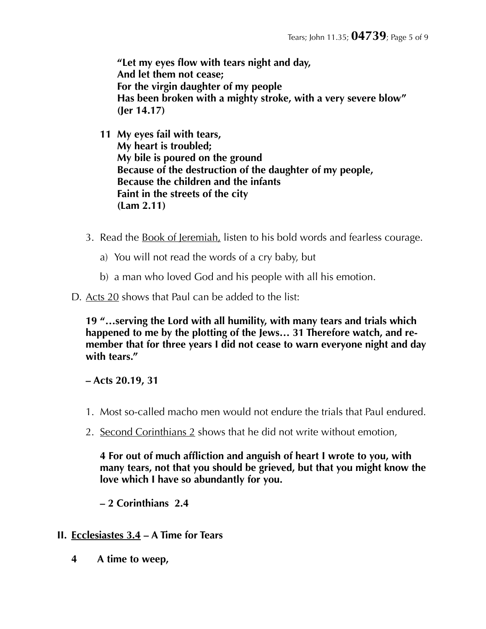**"Let my eyes flow with tears night and day, And let them not cease; For the virgin daughter of my people Has been broken with a mighty stroke, with a very severe blow" (Jer 14.17)** 

**11 My eyes fail with tears, My heart is troubled; My bile is poured on the ground Because of the destruction of the daughter of my people, Because the children and the infants Faint in the streets of the city (Lam 2.11)** 

- 3. Read the Book of Jeremiah, listen to his bold words and fearless courage.
	- a) You will not read the words of a cry baby, but
	- b) a man who loved God and his people with all his emotion.

D. Acts 20 shows that Paul can be added to the list:

**19 "…serving the Lord with all humility, with many tears and trials which happened to me by the plotting of the Jews… 31 Therefore watch, and remember that for three years I did not cease to warn everyone night and day with tears."** 

**– Acts 20.19, 31** 

- 1. Most so-called macho men would not endure the trials that Paul endured.
- 2. Second Corinthians 2 shows that he did not write without emotion,

**4 For out of much affliction and anguish of heart I wrote to you, with many tears, not that you should be grieved, but that you might know the love which I have so abundantly for you.** 

**– 2 Corinthians 2.4** 

- **II. Ecclesiastes 3.4 A Time for Tears** 
	- **4 A time to weep,**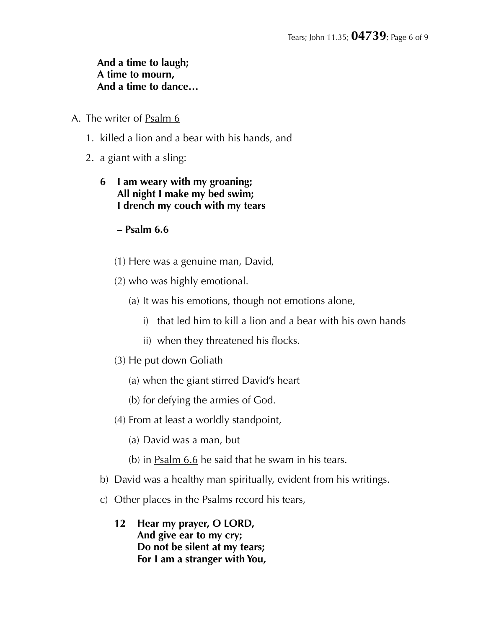#### **And a time to laugh; A time to mourn, And a time to dance…**

- A. The writer of Psalm 6
	- 1. killed a lion and a bear with his hands, and
	- 2. a giant with a sling:
		- **6 I am weary with my groaning; All night I make my bed swim; I drench my couch with my tears**

#### **– Psalm 6.6**

- (1) Here was a genuine man, David,
- (2) who was highly emotional.
	- (a) It was his emotions, though not emotions alone,
		- i) that led him to kill a lion and a bear with his own hands
		- ii) when they threatened his flocks.
- (3) He put down Goliath
	- (a) when the giant stirred David's heart
	- (b) for defying the armies of God.
- (4) From at least a worldly standpoint,
	- (a) David was a man, but
	- (b) in Psalm 6.6 he said that he swam in his tears.
- b) David was a healthy man spiritually, evident from his writings.
- c) Other places in the Psalms record his tears,
	- **12 Hear my prayer, O LORD, And give ear to my cry; Do not be silent at my tears; For I am a stranger with You,**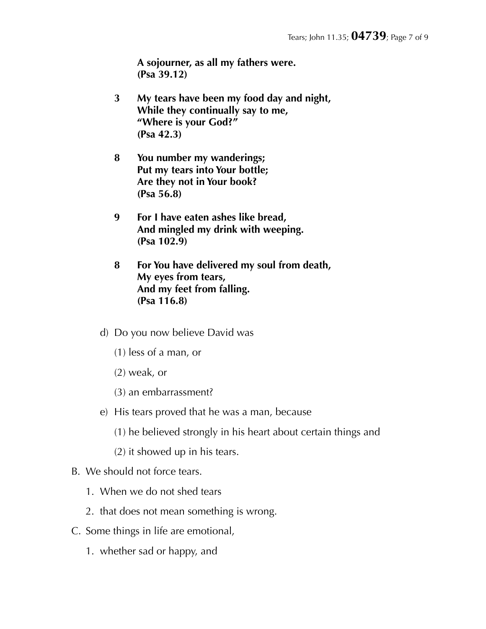**A sojourner, as all my fathers were. (Psa 39.12)** 

- **3 My tears have been my food day and night, While they continually say to me, "Where is your God?" (Psa 42.3)**
- **8 You number my wanderings; Put my tears into Your bottle; Are they not in Your book? (Psa 56.8)**
- **9 For I have eaten ashes like bread, And mingled my drink with weeping. (Psa 102.9)**
- **8 For You have delivered my soul from death, My eyes from tears, And my feet from falling. (Psa 116.8)**
- d) Do you now believe David was
	- (1) less of a man, or
	- (2) weak, or
	- (3) an embarrassment?
- e) His tears proved that he was a man, because
	- (1) he believed strongly in his heart about certain things and
	- (2) it showed up in his tears.

#### B. We should not force tears.

- 1. When we do not shed tears
- 2. that does not mean something is wrong.
- C. Some things in life are emotional,
	- 1. whether sad or happy, and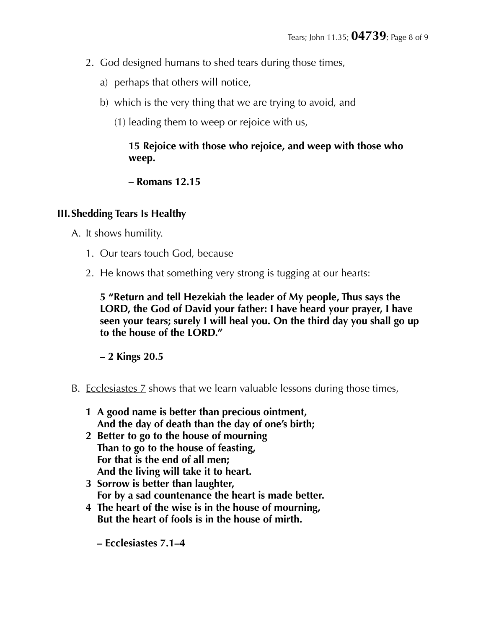- 2. God designed humans to shed tears during those times,
	- a) perhaps that others will notice,
	- b) which is the very thing that we are trying to avoid, and
		- (1) leading them to weep or rejoice with us,

## **15 Rejoice with those who rejoice, and weep with those who weep.**

#### **– Romans 12.15**

## **III.Shedding Tears Is Healthy**

- A. It shows humility.
	- 1. Our tears touch God, because
	- 2. He knows that something very strong is tugging at our hearts:

**5 "Return and tell Hezekiah the leader of My people, Thus says the LORD, the God of David your father: I have heard your prayer, I have seen your tears; surely I will heal you. On the third day you shall go up to the house of the LORD."** 

**– 2 Kings 20.5** 

- B. Ecclesiastes 7 shows that we learn valuable lessons during those times,
	- **1 A good name is better than precious ointment, And the day of death than the day of one's birth;**
	- **2 Better to go to the house of mourning Than to go to the house of feasting, For that is the end of all men; And the living will take it to heart.**
	- **3 Sorrow is better than laughter, For by a sad countenance the heart is made better.**
	- **4 The heart of the wise is in the house of mourning, But the heart of fools is in the house of mirth.** 
		- **Ecclesiastes 7.1–4**